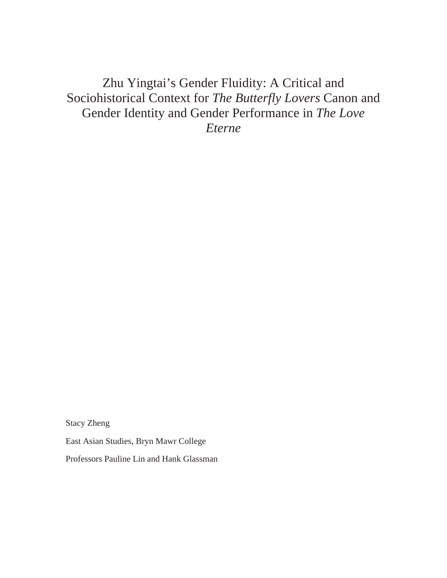# Zhu Yingtai's Gender Fluidity: A Critical and Sociohistorical Context for *The Butterfly Lovers* Canon and Gender Identity and Gender Performance in *The Love Eterne*

Stacy Zheng

East Asian Studies, Bryn Mawr College

Professors Pauline Lin and Hank Glassman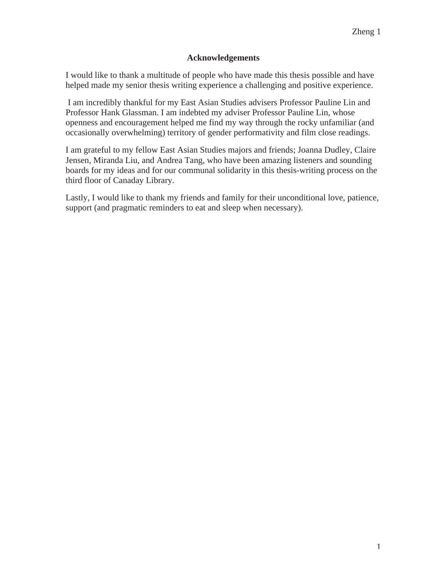### **Acknowledgements**

I would like to thank a multitude of people who have made this thesis possible and have helped made my senior thesis writing experience a challenging and positive experience.

 I am incredibly thankful for my East Asian Studies advisers Professor Pauline Lin and Professor Hank Glassman. I am indebted my adviser Professor Pauline Lin, whose openness and encouragement helped me find my way through the rocky unfamiliar (and occasionally overwhelming) territory of gender performativity and film close readings.

I am grateful to my fellow East Asian Studies majors and friends; Joanna Dudley, Claire Jensen, Miranda Liu, and Andrea Tang, who have been amazing listeners and sounding boards for my ideas and for our communal solidarity in this thesis-writing process on the third floor of Canaday Library.

Lastly, I would like to thank my friends and family for their unconditional love, patience, support (and pragmatic reminders to eat and sleep when necessary).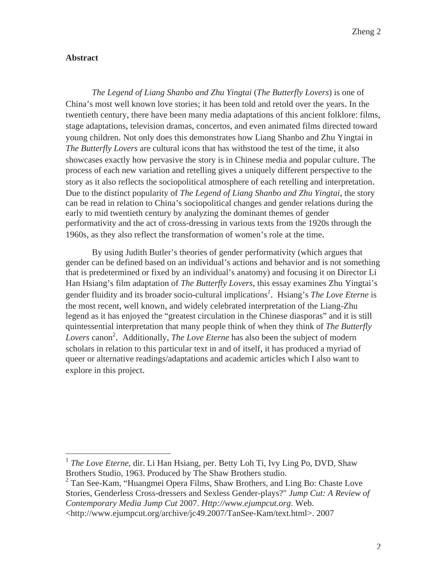### **Abstract**

 $\overline{a}$ 

*The Legend of Liang Shanbo and Zhu Yingtai* (*The Butterfly Lovers*) is one of China's most well known love stories; it has been told and retold over the years. In the twentieth century, there have been many media adaptations of this ancient folklore: films, stage adaptations, television dramas, concertos, and even animated films directed toward young children. Not only does this demonstrates how Liang Shanbo and Zhu Yingtai in *The Butterfly Lovers* are cultural icons that has withstood the test of the time, it also showcases exactly how pervasive the story is in Chinese media and popular culture. The process of each new variation and retelling gives a uniquely different perspective to the story as it also reflects the sociopolitical atmosphere of each retelling and interpretation. Due to the distinct popularity of *The Legend of Liang Shanbo and Zhu Yingtai*, the story can be read in relation to China's sociopolitical changes and gender relations during the early to mid twentieth century by analyzing the dominant themes of gender performativity and the act of cross-dressing in various texts from the 1920s through the 1960s, as they also reflect the transformation of women's role at the time.

By using Judith Butler's theories of gender performativity (which argues that gender can be defined based on an individual's actions and behavior and is not something that is predetermined or fixed by an individual's anatomy) and focusing it on Director Li Han Hsiang's film adaptation of *The Butterfly Lovers*, this essay examines Zhu Yingtai's gender fluidity and its broader socio-cultural implications*<sup>1</sup>* . Hsiang's *The Love Eterne* is the most recent, well known, and widely celebrated interpretation of the Liang-Zhu legend as it has enjoyed the "greatest circulation in the Chinese diasporas" and it is still quintessential interpretation that many people think of when they think of *The Butterfly*  Lovers canon<sup>2</sup>. Additionally, *The Love Eterne* has also been the subject of modern scholars in relation to this particular text in and of itself, it has produced a myriad of queer or alternative readings/adaptations and academic articles which I also want to explore in this project.

<sup>&</sup>lt;sup>1</sup> *The Love Eterne*, dir. Li Han Hsiang, per. Betty Loh Ti, Ivy Ling Po, DVD, Shaw Brothers Studio, 1963. Produced by The Shaw Brothers studio.

<sup>&</sup>lt;sup>2</sup> Tan See-Kam, "Huangmei Opera Films, Shaw Brothers, and Ling Bo: Chaste Love Stories, Genderless Cross-dressers and Sexless Gender-plays?" *Jump Cut: A Review of Contemporary Media Jump Cut* 2007. *Http://www.ejumpcut.org*. Web. <http://www.ejumpcut.org/archive/jc49.2007/TanSee-Kam/text.html>. 2007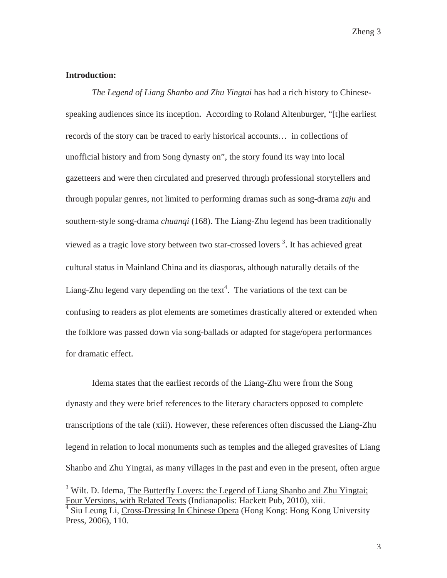#### **Introduction:**

 $\overline{a}$ 

*The Legend of Liang Shanbo and Zhu Yingtai* has had a rich history to Chinesespeaking audiences since its inception. According to Roland Altenburger, "[t]he earliest records of the story can be traced to early historical accounts… in collections of unofficial history and from Song dynasty on", the story found its way into local gazetteers and were then circulated and preserved through professional storytellers and through popular genres, not limited to performing dramas such as song-drama *zaju* and southern-style song-drama *chuanqi* (168). The Liang-Zhu legend has been traditionally viewed as a tragic love story between two star-crossed lovers<sup>3</sup>. It has achieved great cultural status in Mainland China and its diasporas, although naturally details of the Liang-Zhu legend vary depending on the text<sup>4</sup>. The variations of the text can be confusing to readers as plot elements are sometimes drastically altered or extended when the folklore was passed down via song-ballads or adapted for stage/opera performances for dramatic effect.

Idema states that the earliest records of the Liang-Zhu were from the Song dynasty and they were brief references to the literary characters opposed to complete transcriptions of the tale (xiii). However, these references often discussed the Liang-Zhu legend in relation to local monuments such as temples and the alleged gravesites of Liang Shanbo and Zhu Yingtai, as many villages in the past and even in the present, often argue

<sup>&</sup>lt;sup>3</sup> Wilt. D. Idema, The Butterfly Lovers: the Legend of Liang Shanbo and Zhu Yingtai; Four Versions, with Related Texts (Indianapolis: Hackett Pub, 2010), xiii.

<sup>4</sup> Siu Leung Li, Cross-Dressing In Chinese Opera (Hong Kong: Hong Kong University Press, 2006), 110.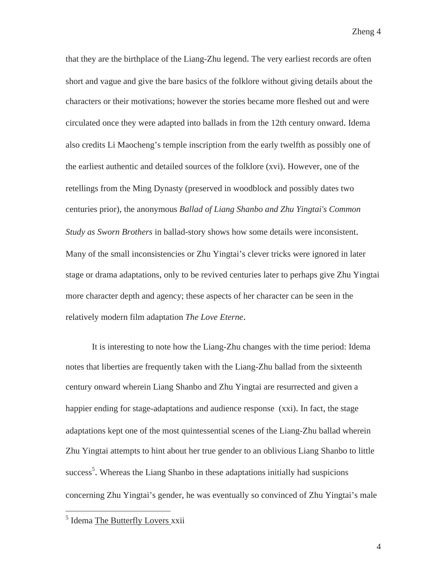that they are the birthplace of the Liang-Zhu legend. The very earliest records are often short and vague and give the bare basics of the folklore without giving details about the characters or their motivations; however the stories became more fleshed out and were circulated once they were adapted into ballads in from the 12th century onward. Idema also credits Li Maocheng's temple inscription from the early twelfth as possibly one of the earliest authentic and detailed sources of the folklore (xvi). However, one of the retellings from the Ming Dynasty (preserved in woodblock and possibly dates two centuries prior), the anonymous *Ballad of Liang Shanbo and Zhu Yingtai's Common Study as Sworn Brothers* in ballad-story shows how some details were inconsistent. Many of the small inconsistencies or Zhu Yingtai's clever tricks were ignored in later stage or drama adaptations, only to be revived centuries later to perhaps give Zhu Yingtai more character depth and agency; these aspects of her character can be seen in the relatively modern film adaptation *The Love Eterne*.

It is interesting to note how the Liang-Zhu changes with the time period: Idema notes that liberties are frequently taken with the Liang-Zhu ballad from the sixteenth century onward wherein Liang Shanbo and Zhu Yingtai are resurrected and given a happier ending for stage-adaptations and audience response (xxi). In fact, the stage adaptations kept one of the most quintessential scenes of the Liang-Zhu ballad wherein Zhu Yingtai attempts to hint about her true gender to an oblivious Liang Shanbo to little success<sup>5</sup>. Whereas the Liang Shanbo in these adaptations initially had suspicions concerning Zhu Yingtai's gender, he was eventually so convinced of Zhu Yingtai's male

 $\overline{a}$ 

<sup>&</sup>lt;sup>5</sup> Idema The Butterfly Lovers xxii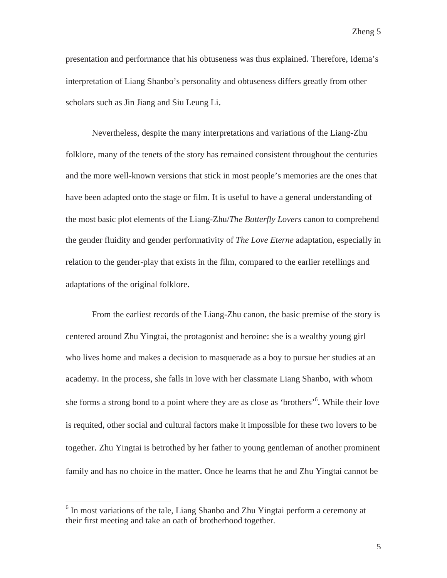presentation and performance that his obtuseness was thus explained. Therefore, Idema's interpretation of Liang Shanbo's personality and obtuseness differs greatly from other scholars such as Jin Jiang and Siu Leung Li.

Nevertheless, despite the many interpretations and variations of the Liang-Zhu folklore, many of the tenets of the story has remained consistent throughout the centuries and the more well-known versions that stick in most people's memories are the ones that have been adapted onto the stage or film. It is useful to have a general understanding of the most basic plot elements of the Liang-Zhu/*The Butterfly Lovers* canon to comprehend the gender fluidity and gender performativity of *The Love Eterne* adaptation, especially in relation to the gender-play that exists in the film, compared to the earlier retellings and adaptations of the original folklore.

 From the earliest records of the Liang-Zhu canon, the basic premise of the story is centered around Zhu Yingtai, the protagonist and heroine: she is a wealthy young girl who lives home and makes a decision to masquerade as a boy to pursue her studies at an academy. In the process, she falls in love with her classmate Liang Shanbo, with whom she forms a strong bond to a point where they are as close as 'brothers'<sup>6</sup>. While their love is requited, other social and cultural factors make it impossible for these two lovers to be together. Zhu Yingtai is betrothed by her father to young gentleman of another prominent family and has no choice in the matter. Once he learns that he and Zhu Yingtai cannot be

<sup>&</sup>lt;sup>6</sup> In most variations of the tale, Liang Shanbo and Zhu Yingtai perform a ceremony at their first meeting and take an oath of brotherhood together.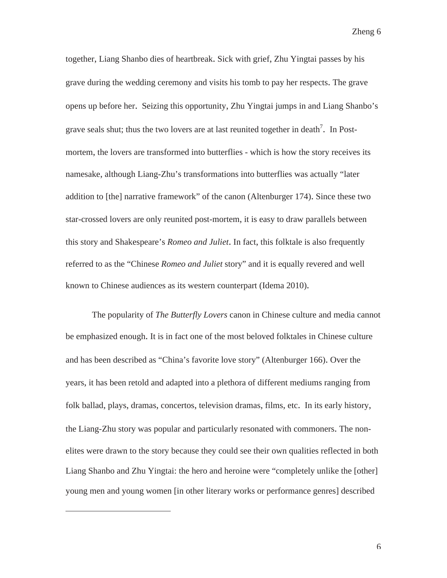together, Liang Shanbo dies of heartbreak. Sick with grief, Zhu Yingtai passes by his grave during the wedding ceremony and visits his tomb to pay her respects. The grave opens up before her. Seizing this opportunity, Zhu Yingtai jumps in and Liang Shanbo's grave seals shut; thus the two lovers are at last reunited together in death<sup>7</sup>. In Postmortem, the lovers are transformed into butterflies - which is how the story receives its namesake, although Liang-Zhu's transformations into butterflies was actually "later addition to [the] narrative framework" of the canon (Altenburger 174). Since these two star-crossed lovers are only reunited post-mortem, it is easy to draw parallels between this story and Shakespeare's *Romeo and Juliet*. In fact, this folktale is also frequently referred to as the "Chinese *Romeo and Juliet* story" and it is equally revered and well known to Chinese audiences as its western counterpart (Idema 2010).

The popularity of *The Butterfly Lovers* canon in Chinese culture and media cannot be emphasized enough. It is in fact one of the most beloved folktales in Chinese culture and has been described as "China's favorite love story" (Altenburger 166). Over the years, it has been retold and adapted into a plethora of different mediums ranging from folk ballad, plays, dramas, concertos, television dramas, films, etc. In its early history, the Liang-Zhu story was popular and particularly resonated with commoners. The nonelites were drawn to the story because they could see their own qualities reflected in both Liang Shanbo and Zhu Yingtai: the hero and heroine were "completely unlike the [other] young men and young women [in other literary works or performance genres] described

 $\overline{a}$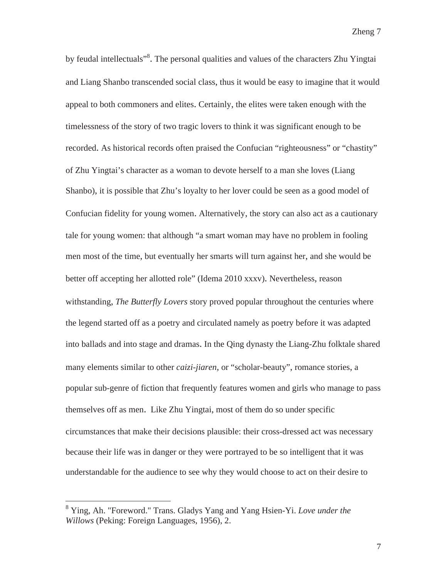by feudal intellectuals"<sup>8</sup>. The personal qualities and values of the characters Zhu Yingtai and Liang Shanbo transcended social class, thus it would be easy to imagine that it would appeal to both commoners and elites. Certainly, the elites were taken enough with the timelessness of the story of two tragic lovers to think it was significant enough to be recorded. As historical records often praised the Confucian "righteousness" or "chastity" of Zhu Yingtai's character as a woman to devote herself to a man she loves (Liang Shanbo), it is possible that Zhu's loyalty to her lover could be seen as a good model of Confucian fidelity for young women. Alternatively, the story can also act as a cautionary tale for young women: that although "a smart woman may have no problem in fooling men most of the time, but eventually her smarts will turn against her, and she would be better off accepting her allotted role" (Idema 2010 xxxv). Nevertheless, reason withstanding, *The Butterfly Lovers* story proved popular throughout the centuries where the legend started off as a poetry and circulated namely as poetry before it was adapted into ballads and into stage and dramas. In the Qing dynasty the Liang-Zhu folktale shared many elements similar to other *caizi-jiaren,* or "scholar-beauty", romance stories, a popular sub-genre of fiction that frequently features women and girls who manage to pass themselves off as men. Like Zhu Yingtai, most of them do so under specific circumstances that make their decisions plausible: their cross-dressed act was necessary because their life was in danger or they were portrayed to be so intelligent that it was understandable for the audience to see why they would choose to act on their desire to

<sup>8</sup> Ying, Ah. "Foreword." Trans. Gladys Yang and Yang Hsien-Yi. *Love under the Willows* (Peking: Foreign Languages, 1956), 2.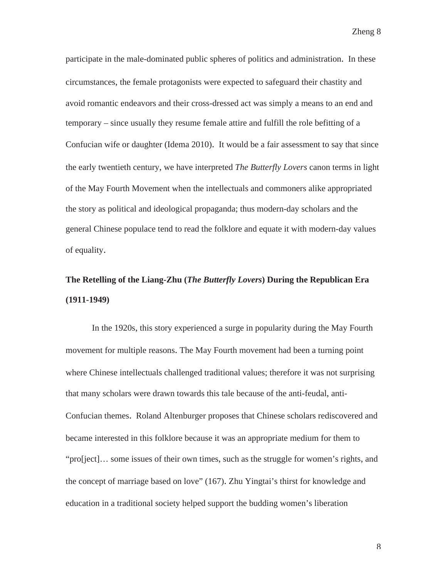participate in the male-dominated public spheres of politics and administration. In these circumstances, the female protagonists were expected to safeguard their chastity and avoid romantic endeavors and their cross-dressed act was simply a means to an end and temporary – since usually they resume female attire and fulfill the role befitting of a Confucian wife or daughter (Idema 2010). It would be a fair assessment to say that since the early twentieth century, we have interpreted *The Butterfly Lovers* canon terms in light of the May Fourth Movement when the intellectuals and commoners alike appropriated the story as political and ideological propaganda; thus modern-day scholars and the general Chinese populace tend to read the folklore and equate it with modern-day values of equality.

# **The Retelling of the Liang-Zhu (***The Butterfly Lovers***) During the Republican Era (1911-1949)**

In the 1920s, this story experienced a surge in popularity during the May Fourth movement for multiple reasons. The May Fourth movement had been a turning point where Chinese intellectuals challenged traditional values; therefore it was not surprising that many scholars were drawn towards this tale because of the anti-feudal, anti-Confucian themes. Roland Altenburger proposes that Chinese scholars rediscovered and became interested in this folklore because it was an appropriate medium for them to "pro[ject]… some issues of their own times, such as the struggle for women's rights, and the concept of marriage based on love" (167). Zhu Yingtai's thirst for knowledge and education in a traditional society helped support the budding women's liberation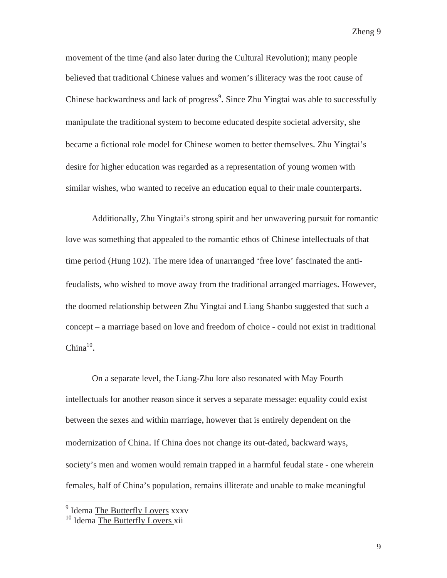movement of the time (and also later during the Cultural Revolution); many people believed that traditional Chinese values and women's illiteracy was the root cause of Chinese backwardness and lack of progress<sup>9</sup>. Since Zhu Yingtai was able to successfully manipulate the traditional system to become educated despite societal adversity, she became a fictional role model for Chinese women to better themselves. Zhu Yingtai's desire for higher education was regarded as a representation of young women with similar wishes, who wanted to receive an education equal to their male counterparts.

Additionally, Zhu Yingtai's strong spirit and her unwavering pursuit for romantic love was something that appealed to the romantic ethos of Chinese intellectuals of that time period (Hung 102). The mere idea of unarranged 'free love' fascinated the antifeudalists, who wished to move away from the traditional arranged marriages. However, the doomed relationship between Zhu Yingtai and Liang Shanbo suggested that such a concept – a marriage based on love and freedom of choice - could not exist in traditional China $10$ .

On a separate level, the Liang-Zhu lore also resonated with May Fourth intellectuals for another reason since it serves a separate message: equality could exist between the sexes and within marriage, however that is entirely dependent on the modernization of China. If China does not change its out-dated, backward ways, society's men and women would remain trapped in a harmful feudal state - one wherein females, half of China's population, remains illiterate and unable to make meaningful

<sup>&</sup>lt;sup>9</sup> Idema The Butterfly Lovers xxxv

<sup>&</sup>lt;sup>10</sup> Idema The Butterfly Lovers xii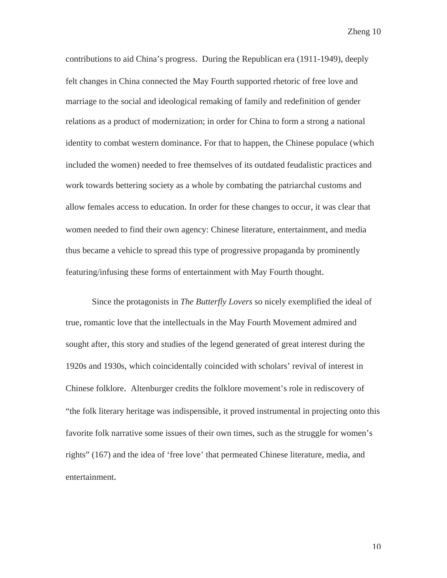contributions to aid China's progress. During the Republican era (1911-1949), deeply felt changes in China connected the May Fourth supported rhetoric of free love and marriage to the social and ideological remaking of family and redefinition of gender relations as a product of modernization; in order for China to form a strong a national identity to combat western dominance. For that to happen, the Chinese populace (which included the women) needed to free themselves of its outdated feudalistic practices and work towards bettering society as a whole by combating the patriarchal customs and allow females access to education. In order for these changes to occur, it was clear that women needed to find their own agency: Chinese literature, entertainment, and media thus became a vehicle to spread this type of progressive propaganda by prominently featuring/infusing these forms of entertainment with May Fourth thought.

Since the protagonists in *The Butterfly Lovers* so nicely exemplified the ideal of true, romantic love that the intellectuals in the May Fourth Movement admired and sought after, this story and studies of the legend generated of great interest during the 1920s and 1930s, which coincidentally coincided with scholars' revival of interest in Chinese folklore. Altenburger credits the folklore movement's role in rediscovery of "the folk literary heritage was indispensible, it proved instrumental in projecting onto this favorite folk narrative some issues of their own times, such as the struggle for women's rights" (167) and the idea of 'free love' that permeated Chinese literature, media, and entertainment.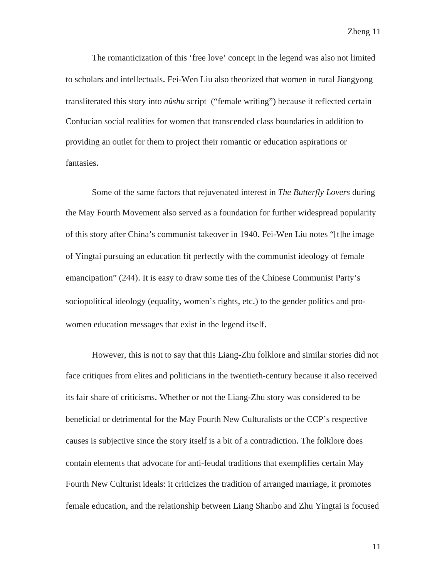The romanticization of this 'free love' concept in the legend was also not limited to scholars and intellectuals. Fei-Wen Liu also theorized that women in rural Jiangyong transliterated this story into *nüshu* script ("female writing") because it reflected certain Confucian social realities for women that transcended class boundaries in addition to providing an outlet for them to project their romantic or education aspirations or fantasies.

Some of the same factors that rejuvenated interest in *The Butterfly Lovers* during the May Fourth Movement also served as a foundation for further widespread popularity of this story after China's communist takeover in 1940. Fei-Wen Liu notes "[t]he image of Yingtai pursuing an education fit perfectly with the communist ideology of female emancipation" (244). It is easy to draw some ties of the Chinese Communist Party's sociopolitical ideology (equality, women's rights, etc.) to the gender politics and prowomen education messages that exist in the legend itself.

However, this is not to say that this Liang-Zhu folklore and similar stories did not face critiques from elites and politicians in the twentieth-century because it also received its fair share of criticisms. Whether or not the Liang-Zhu story was considered to be beneficial or detrimental for the May Fourth New Culturalists or the CCP's respective causes is subjective since the story itself is a bit of a contradiction. The folklore does contain elements that advocate for anti-feudal traditions that exemplifies certain May Fourth New Culturist ideals: it criticizes the tradition of arranged marriage, it promotes female education, and the relationship between Liang Shanbo and Zhu Yingtai is focused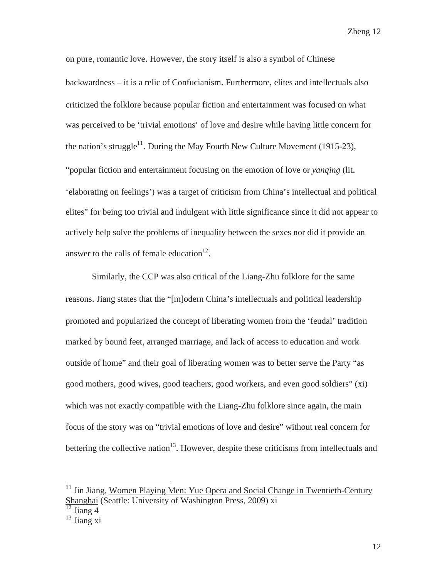on pure, romantic love. However, the story itself is also a symbol of Chinese backwardness – it is a relic of Confucianism. Furthermore, elites and intellectuals also criticized the folklore because popular fiction and entertainment was focused on what was perceived to be 'trivial emotions' of love and desire while having little concern for the nation's struggle<sup>11</sup>. During the May Fourth New Culture Movement (1915-23), "popular fiction and entertainment focusing on the emotion of love or *yanqing* (lit. 'elaborating on feelings') was a target of criticism from China's intellectual and political elites" for being too trivial and indulgent with little significance since it did not appear to actively help solve the problems of inequality between the sexes nor did it provide an answer to the calls of female education<sup>12</sup>.

Similarly, the CCP was also critical of the Liang-Zhu folklore for the same reasons. Jiang states that the "[m]odern China's intellectuals and political leadership promoted and popularized the concept of liberating women from the 'feudal' tradition marked by bound feet, arranged marriage, and lack of access to education and work outside of home" and their goal of liberating women was to better serve the Party "as good mothers, good wives, good teachers, good workers, and even good soldiers" (xi) which was not exactly compatible with the Liang-Zhu folklore since again, the main focus of the story was on "trivial emotions of love and desire" without real concern for bettering the collective nation<sup>13</sup>. However, despite these criticisms from intellectuals and

 $12$  Jiang 4

<sup>&</sup>lt;sup>11</sup> Jin Jiang, Women Playing Men: Yue Opera and Social Change in Twentieth-Century Shanghai (Seattle: University of Washington Press, 2009) xi

 $^{13}$  Jiang xi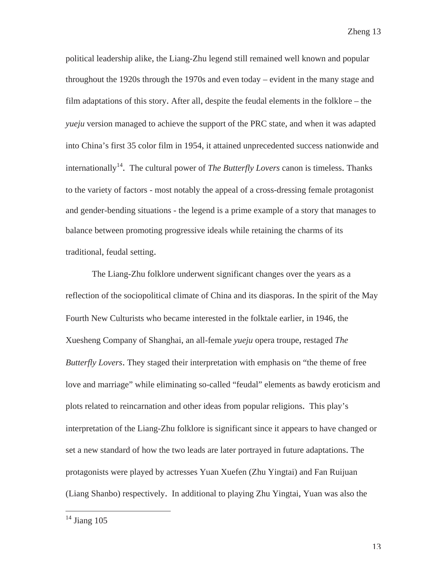political leadership alike, the Liang-Zhu legend still remained well known and popular throughout the 1920s through the 1970s and even today – evident in the many stage and film adaptations of this story. After all, despite the feudal elements in the folklore – the *yueju* version managed to achieve the support of the PRC state, and when it was adapted into China's first 35 color film in 1954, it attained unprecedented success nationwide and internationally<sup>14</sup>. The cultural power of *The Butterfly Lovers* canon is timeless. Thanks to the variety of factors - most notably the appeal of a cross-dressing female protagonist and gender-bending situations - the legend is a prime example of a story that manages to balance between promoting progressive ideals while retaining the charms of its traditional, feudal setting.

The Liang-Zhu folklore underwent significant changes over the years as a reflection of the sociopolitical climate of China and its diasporas. In the spirit of the May Fourth New Culturists who became interested in the folktale earlier, in 1946, the Xuesheng Company of Shanghai, an all-female *yueju* opera troupe, restaged *The Butterfly Lovers*. They staged their interpretation with emphasis on "the theme of free love and marriage" while eliminating so-called "feudal" elements as bawdy eroticism and plots related to reincarnation and other ideas from popular religions. This play's interpretation of the Liang-Zhu folklore is significant since it appears to have changed or set a new standard of how the two leads are later portrayed in future adaptations. The protagonists were played by actresses Yuan Xuefen (Zhu Yingtai) and Fan Ruijuan (Liang Shanbo) respectively. In additional to playing Zhu Yingtai, Yuan was also the

 $14$  Jiang 105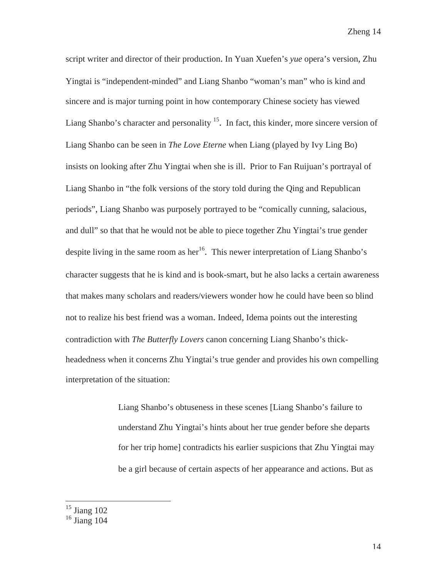script writer and director of their production. In Yuan Xuefen's *yue* opera's version, Zhu Yingtai is "independent-minded" and Liang Shanbo "woman's man" who is kind and sincere and is major turning point in how contemporary Chinese society has viewed Liang Shanbo's character and personality <sup>15</sup>. In fact, this kinder, more sincere version of Liang Shanbo can be seen in *The Love Eterne* when Liang (played by Ivy Ling Bo) insists on looking after Zhu Yingtai when she is ill. Prior to Fan Ruijuan's portrayal of Liang Shanbo in "the folk versions of the story told during the Qing and Republican periods", Liang Shanbo was purposely portrayed to be "comically cunning, salacious, and dull" so that that he would not be able to piece together Zhu Yingtai's true gender despite living in the same room as her<sup>16</sup>. This newer interpretation of Liang Shanbo's character suggests that he is kind and is book-smart, but he also lacks a certain awareness that makes many scholars and readers/viewers wonder how he could have been so blind not to realize his best friend was a woman. Indeed, Idema points out the interesting contradiction with *The Butterfly Lovers* canon concerning Liang Shanbo's thickheadedness when it concerns Zhu Yingtai's true gender and provides his own compelling interpretation of the situation:

> Liang Shanbo's obtuseness in these scenes [Liang Shanbo's failure to understand Zhu Yingtai's hints about her true gender before she departs for her trip home] contradicts his earlier suspicions that Zhu Yingtai may be a girl because of certain aspects of her appearance and actions. But as

 $15$  Jiang 102

 $16$  Jiang 104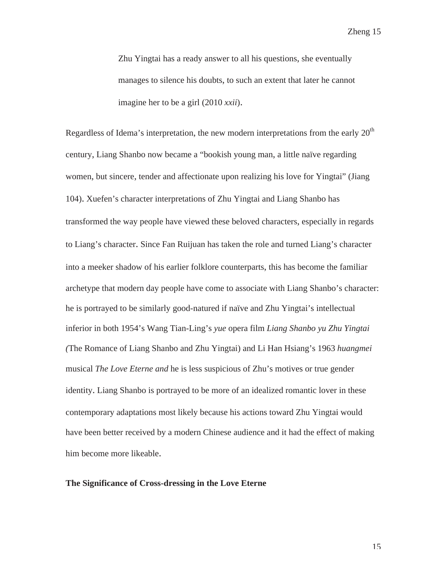Zhu Yingtai has a ready answer to all his questions, she eventually manages to silence his doubts, to such an extent that later he cannot imagine her to be a girl (2010 *xxii*).

Regardless of Idema's interpretation, the new modern interpretations from the early  $20<sup>th</sup>$ century, Liang Shanbo now became a "bookish young man, a little naïve regarding women, but sincere, tender and affectionate upon realizing his love for Yingtai" (Jiang 104). Xuefen's character interpretations of Zhu Yingtai and Liang Shanbo has transformed the way people have viewed these beloved characters, especially in regards to Liang's character. Since Fan Ruijuan has taken the role and turned Liang's character into a meeker shadow of his earlier folklore counterparts, this has become the familiar archetype that modern day people have come to associate with Liang Shanbo's character: he is portrayed to be similarly good-natured if naïve and Zhu Yingtai's intellectual inferior in both 1954's Wang Tian-Ling's *yue* opera film *Liang Shanbo yu Zhu Yingtai (*The Romance of Liang Shanbo and Zhu Yingtai) and Li Han Hsiang's 1963 *huangmei* musical *The Love Eterne and* he is less suspicious of Zhu's motives or true gender identity. Liang Shanbo is portrayed to be more of an idealized romantic lover in these contemporary adaptations most likely because his actions toward Zhu Yingtai would have been better received by a modern Chinese audience and it had the effect of making him become more likeable.

### **The Significance of Cross-dressing in the Love Eterne**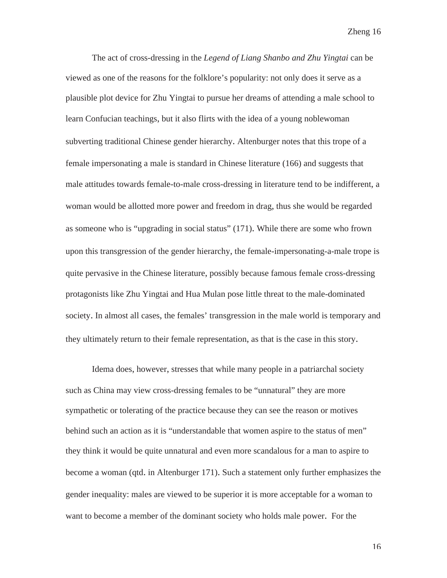The act of cross-dressing in the *Legend of Liang Shanbo and Zhu Yingtai* can be viewed as one of the reasons for the folklore's popularity: not only does it serve as a plausible plot device for Zhu Yingtai to pursue her dreams of attending a male school to learn Confucian teachings, but it also flirts with the idea of a young noblewoman subverting traditional Chinese gender hierarchy. Altenburger notes that this trope of a female impersonating a male is standard in Chinese literature (166) and suggests that male attitudes towards female-to-male cross-dressing in literature tend to be indifferent, a woman would be allotted more power and freedom in drag, thus she would be regarded as someone who is "upgrading in social status" (171). While there are some who frown upon this transgression of the gender hierarchy, the female-impersonating-a-male trope is quite pervasive in the Chinese literature, possibly because famous female cross-dressing protagonists like Zhu Yingtai and Hua Mulan pose little threat to the male-dominated society. In almost all cases, the females' transgression in the male world is temporary and they ultimately return to their female representation, as that is the case in this story.

Idema does, however, stresses that while many people in a patriarchal society such as China may view cross-dressing females to be "unnatural" they are more sympathetic or tolerating of the practice because they can see the reason or motives behind such an action as it is "understandable that women aspire to the status of men" they think it would be quite unnatural and even more scandalous for a man to aspire to become a woman (qtd. in Altenburger 171). Such a statement only further emphasizes the gender inequality: males are viewed to be superior it is more acceptable for a woman to want to become a member of the dominant society who holds male power. For the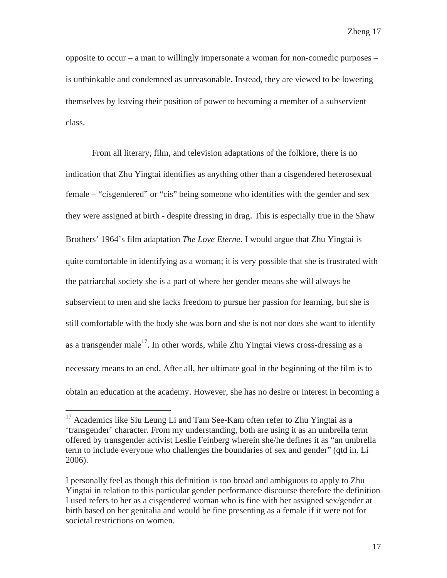opposite to occur – a man to willingly impersonate a woman for non-comedic purposes – is unthinkable and condemned as unreasonable. Instead, they are viewed to be lowering themselves by leaving their position of power to becoming a member of a subservient class.

From all literary, film, and television adaptations of the folklore, there is no indication that Zhu Yingtai identifies as anything other than a cisgendered heterosexual female – "cisgendered" or "cis" being someone who identifies with the gender and sex they were assigned at birth - despite dressing in drag. This is especially true in the Shaw Brothers' 1964's film adaptation *The Love Eterne*. I would argue that Zhu Yingtai is quite comfortable in identifying as a woman; it is very possible that she is frustrated with the patriarchal society she is a part of where her gender means she will always be subservient to men and she lacks freedom to pursue her passion for learning, but she is still comfortable with the body she was born and she is not nor does she want to identify as a transgender male<sup>17</sup>. In other words, while Zhu Yingtai views cross-dressing as a necessary means to an end. After all, her ultimate goal in the beginning of the film is to obtain an education at the academy. However, she has no desire or interest in becoming a

 $17$  Academics like Siu Leung Li and Tam See-Kam often refer to Zhu Yingtai as a 'transgender' character. From my understanding, both are using it as an umbrella term offered by transgender activist Leslie Feinberg wherein she/he defines it as "an umbrella term to include everyone who challenges the boundaries of sex and gender" (qtd in. Li 2006).

I personally feel as though this definition is too broad and ambiguous to apply to Zhu Yingtai in relation to this particular gender performance discourse therefore the definition I used refers to her as a cisgendered woman who is fine with her assigned sex/gender at birth based on her genitalia and would be fine presenting as a female if it were not for societal restrictions on women.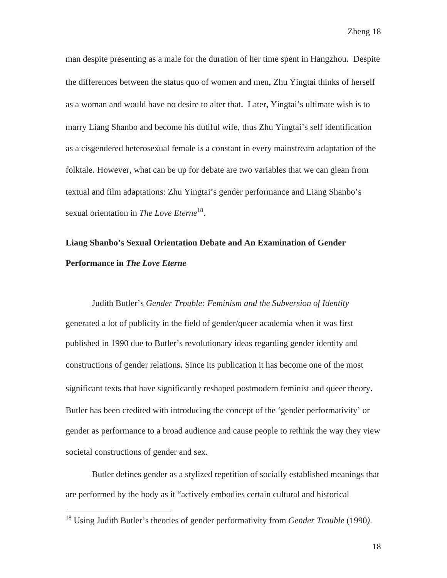man despite presenting as a male for the duration of her time spent in Hangzhou. Despite the differences between the status quo of women and men, Zhu Yingtai thinks of herself as a woman and would have no desire to alter that. Later, Yingtai's ultimate wish is to marry Liang Shanbo and become his dutiful wife, thus Zhu Yingtai's self identification as a cisgendered heterosexual female is a constant in every mainstream adaptation of the folktale. However, what can be up for debate are two variables that we can glean from textual and film adaptations: Zhu Yingtai's gender performance and Liang Shanbo's sexual orientation in *The Love Eterne*<sup>18</sup>.

# **Liang Shanbo's Sexual Orientation Debate and An Examination of Gender Performance in** *The Love Eterne*

 Judith Butler's *Gender Trouble: Feminism and the Subversion of Identity* generated a lot of publicity in the field of gender/queer academia when it was first published in 1990 due to Butler's revolutionary ideas regarding gender identity and constructions of gender relations. Since its publication it has become one of the most significant texts that have significantly reshaped postmodern feminist and queer theory. Butler has been credited with introducing the concept of the 'gender performativity' or gender as performance to a broad audience and cause people to rethink the way they view societal constructions of gender and sex.

Butler defines gender as a stylized repetition of socially established meanings that are performed by the body as it "actively embodies certain cultural and historical

<sup>18</sup> Using Judith Butler's theories of gender performativity from *Gender Trouble* (1990*)*.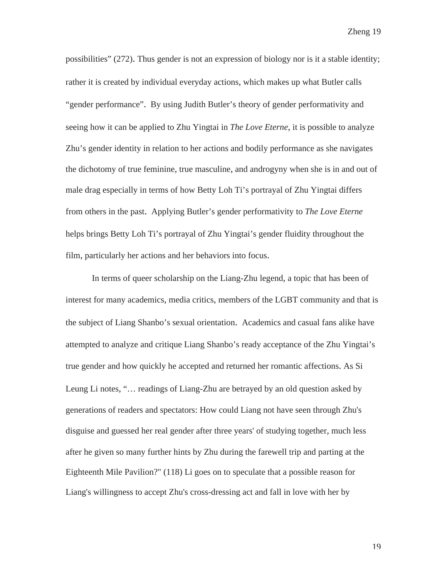possibilities" (272). Thus gender is not an expression of biology nor is it a stable identity; rather it is created by individual everyday actions, which makes up what Butler calls "gender performance". By using Judith Butler's theory of gender performativity and seeing how it can be applied to Zhu Yingtai in *The Love Eterne*, it is possible to analyze Zhu's gender identity in relation to her actions and bodily performance as she navigates the dichotomy of true feminine, true masculine, and androgyny when she is in and out of male drag especially in terms of how Betty Loh Ti's portrayal of Zhu Yingtai differs from others in the past. Applying Butler's gender performativity to *The Love Eterne* helps brings Betty Loh Ti's portrayal of Zhu Yingtai's gender fluidity throughout the film, particularly her actions and her behaviors into focus.

In terms of queer scholarship on the Liang-Zhu legend, a topic that has been of interest for many academics, media critics, members of the LGBT community and that is the subject of Liang Shanbo's sexual orientation. Academics and casual fans alike have attempted to analyze and critique Liang Shanbo's ready acceptance of the Zhu Yingtai's true gender and how quickly he accepted and returned her romantic affections. As Si Leung Li notes, "… readings of Liang-Zhu are betrayed by an old question asked by generations of readers and spectators: How could Liang not have seen through Zhu's disguise and guessed her real gender after three years' of studying together, much less after he given so many further hints by Zhu during the farewell trip and parting at the Eighteenth Mile Pavilion?" (118) Li goes on to speculate that a possible reason for Liang's willingness to accept Zhu's cross-dressing act and fall in love with her by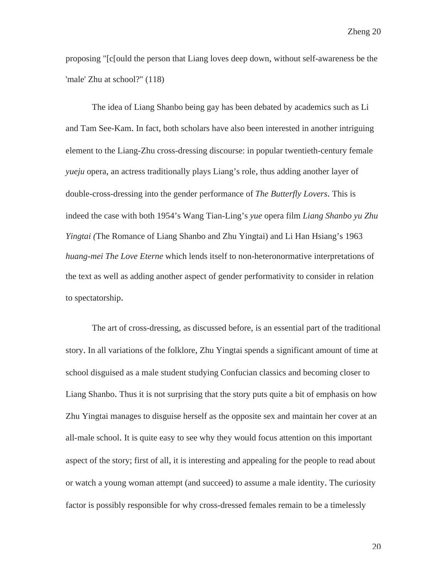proposing "[c[ould the person that Liang loves deep down, without self-awareness be the 'male' Zhu at school?" (118)

The idea of Liang Shanbo being gay has been debated by academics such as Li and Tam See-Kam. In fact, both scholars have also been interested in another intriguing element to the Liang-Zhu cross-dressing discourse: in popular twentieth-century female *yueju* opera, an actress traditionally plays Liang's role, thus adding another layer of double-cross-dressing into the gender performance of *The Butterfly Lovers*. This is indeed the case with both 1954's Wang Tian-Ling's *yue* opera film *Liang Shanbo yu Zhu Yingtai (*The Romance of Liang Shanbo and Zhu Yingtai) and Li Han Hsiang's 1963 *huang-mei The Love Eterne* which lends itself to non-heteronormative interpretations of the text as well as adding another aspect of gender performativity to consider in relation to spectatorship.

The art of cross-dressing, as discussed before, is an essential part of the traditional story. In all variations of the folklore, Zhu Yingtai spends a significant amount of time at school disguised as a male student studying Confucian classics and becoming closer to Liang Shanbo. Thus it is not surprising that the story puts quite a bit of emphasis on how Zhu Yingtai manages to disguise herself as the opposite sex and maintain her cover at an all-male school. It is quite easy to see why they would focus attention on this important aspect of the story; first of all, it is interesting and appealing for the people to read about or watch a young woman attempt (and succeed) to assume a male identity. The curiosity factor is possibly responsible for why cross-dressed females remain to be a timelessly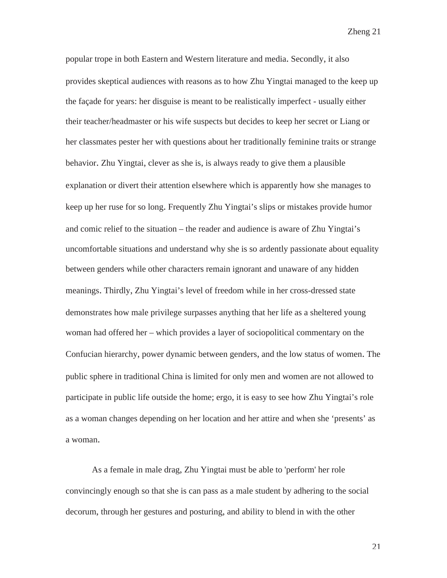popular trope in both Eastern and Western literature and media. Secondly, it also provides skeptical audiences with reasons as to how Zhu Yingtai managed to the keep up the façade for years: her disguise is meant to be realistically imperfect - usually either their teacher/headmaster or his wife suspects but decides to keep her secret or Liang or her classmates pester her with questions about her traditionally feminine traits or strange behavior. Zhu Yingtai, clever as she is, is always ready to give them a plausible explanation or divert their attention elsewhere which is apparently how she manages to keep up her ruse for so long. Frequently Zhu Yingtai's slips or mistakes provide humor and comic relief to the situation – the reader and audience is aware of Zhu Yingtai's uncomfortable situations and understand why she is so ardently passionate about equality between genders while other characters remain ignorant and unaware of any hidden meanings. Thirdly, Zhu Yingtai's level of freedom while in her cross-dressed state demonstrates how male privilege surpasses anything that her life as a sheltered young woman had offered her – which provides a layer of sociopolitical commentary on the Confucian hierarchy, power dynamic between genders, and the low status of women. The public sphere in traditional China is limited for only men and women are not allowed to participate in public life outside the home; ergo, it is easy to see how Zhu Yingtai's role as a woman changes depending on her location and her attire and when she 'presents' as a woman.

As a female in male drag, Zhu Yingtai must be able to 'perform' her role convincingly enough so that she is can pass as a male student by adhering to the social decorum, through her gestures and posturing, and ability to blend in with the other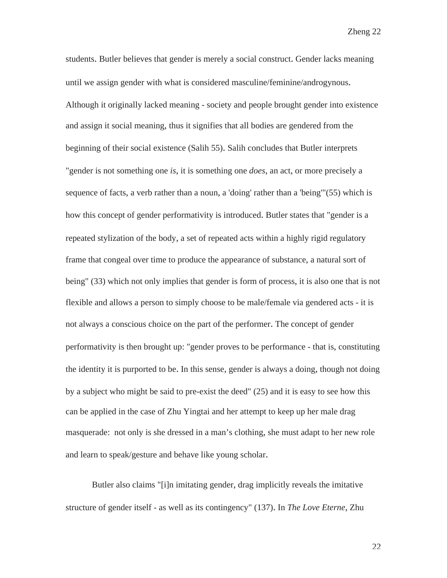students. Butler believes that gender is merely a social construct. Gender lacks meaning until we assign gender with what is considered masculine/feminine/androgynous. Although it originally lacked meaning - society and people brought gender into existence and assign it social meaning, thus it signifies that all bodies are gendered from the beginning of their social existence (Salih 55). Salih concludes that Butler interprets "gender is not something one *is*, it is something one *does*, an act, or more precisely a sequence of facts, a verb rather than a noun, a 'doing' rather than a 'being'"(55) which is how this concept of gender performativity is introduced. Butler states that "gender is a repeated stylization of the body, a set of repeated acts within a highly rigid regulatory frame that congeal over time to produce the appearance of substance, a natural sort of being" (33) which not only implies that gender is form of process, it is also one that is not flexible and allows a person to simply choose to be male/female via gendered acts - it is not always a conscious choice on the part of the performer. The concept of gender performativity is then brought up: "gender proves to be performance - that is, constituting the identity it is purported to be. In this sense, gender is always a doing, though not doing by a subject who might be said to pre-exist the deed" (25) and it is easy to see how this can be applied in the case of Zhu Yingtai and her attempt to keep up her male drag masquerade: not only is she dressed in a man's clothing, she must adapt to her new role and learn to speak/gesture and behave like young scholar.

Butler also claims "[i]n imitating gender, drag implicitly reveals the imitative structure of gender itself - as well as its contingency" (137). In *The Love Eterne*, Zhu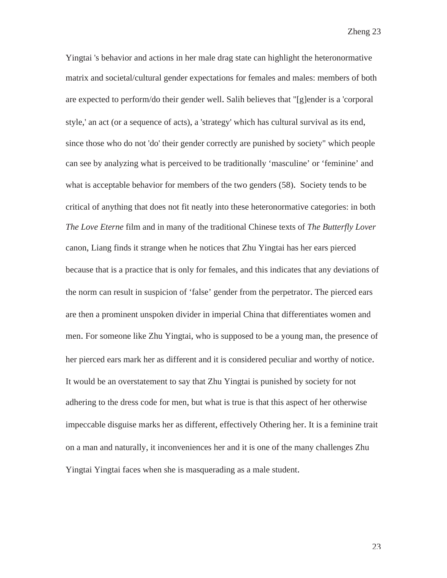Yingtai 's behavior and actions in her male drag state can highlight the heteronormative matrix and societal/cultural gender expectations for females and males: members of both are expected to perform/do their gender well. Salih believes that "[g]ender is a 'corporal style,' an act (or a sequence of acts), a 'strategy' which has cultural survival as its end, since those who do not 'do' their gender correctly are punished by society" which people can see by analyzing what is perceived to be traditionally 'masculine' or 'feminine' and what is acceptable behavior for members of the two genders (58). Society tends to be critical of anything that does not fit neatly into these heteronormative categories: in both *The Love Eterne* film and in many of the traditional Chinese texts of *The Butterfly Lover* canon, Liang finds it strange when he notices that Zhu Yingtai has her ears pierced because that is a practice that is only for females, and this indicates that any deviations of the norm can result in suspicion of 'false' gender from the perpetrator. The pierced ears are then a prominent unspoken divider in imperial China that differentiates women and men. For someone like Zhu Yingtai, who is supposed to be a young man, the presence of her pierced ears mark her as different and it is considered peculiar and worthy of notice. It would be an overstatement to say that Zhu Yingtai is punished by society for not adhering to the dress code for men, but what is true is that this aspect of her otherwise impeccable disguise marks her as different, effectively Othering her. It is a feminine trait on a man and naturally, it inconveniences her and it is one of the many challenges Zhu Yingtai Yingtai faces when she is masquerading as a male student.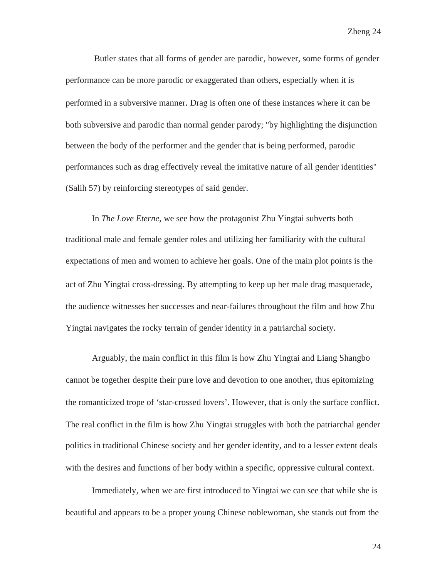Butler states that all forms of gender are parodic, however, some forms of gender performance can be more parodic or exaggerated than others, especially when it is performed in a subversive manner. Drag is often one of these instances where it can be both subversive and parodic than normal gender parody; "by highlighting the disjunction between the body of the performer and the gender that is being performed, parodic performances such as drag effectively reveal the imitative nature of all gender identities" (Salih 57) by reinforcing stereotypes of said gender.

In *The Love Eterne*, we see how the protagonist Zhu Yingtai subverts both traditional male and female gender roles and utilizing her familiarity with the cultural expectations of men and women to achieve her goals. One of the main plot points is the act of Zhu Yingtai cross-dressing. By attempting to keep up her male drag masquerade, the audience witnesses her successes and near-failures throughout the film and how Zhu Yingtai navigates the rocky terrain of gender identity in a patriarchal society.

Arguably, the main conflict in this film is how Zhu Yingtai and Liang Shangbo cannot be together despite their pure love and devotion to one another, thus epitomizing the romanticized trope of 'star-crossed lovers'. However, that is only the surface conflict. The real conflict in the film is how Zhu Yingtai struggles with both the patriarchal gender politics in traditional Chinese society and her gender identity, and to a lesser extent deals with the desires and functions of her body within a specific, oppressive cultural context.

Immediately, when we are first introduced to Yingtai we can see that while she is beautiful and appears to be a proper young Chinese noblewoman, she stands out from the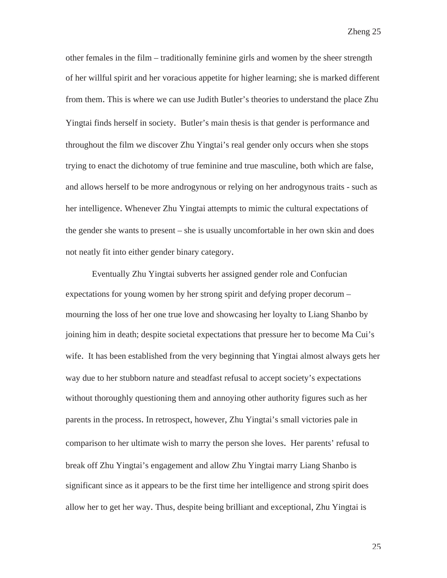other females in the film – traditionally feminine girls and women by the sheer strength of her willful spirit and her voracious appetite for higher learning; she is marked different from them. This is where we can use Judith Butler's theories to understand the place Zhu Yingtai finds herself in society. Butler's main thesis is that gender is performance and throughout the film we discover Zhu Yingtai's real gender only occurs when she stops trying to enact the dichotomy of true feminine and true masculine, both which are false, and allows herself to be more androgynous or relying on her androgynous traits - such as her intelligence. Whenever Zhu Yingtai attempts to mimic the cultural expectations of the gender she wants to present – she is usually uncomfortable in her own skin and does not neatly fit into either gender binary category.

Eventually Zhu Yingtai subverts her assigned gender role and Confucian expectations for young women by her strong spirit and defying proper decorum – mourning the loss of her one true love and showcasing her loyalty to Liang Shanbo by joining him in death; despite societal expectations that pressure her to become Ma Cui's wife. It has been established from the very beginning that Yingtai almost always gets her way due to her stubborn nature and steadfast refusal to accept society's expectations without thoroughly questioning them and annoying other authority figures such as her parents in the process. In retrospect, however, Zhu Yingtai's small victories pale in comparison to her ultimate wish to marry the person she loves. Her parents' refusal to break off Zhu Yingtai's engagement and allow Zhu Yingtai marry Liang Shanbo is significant since as it appears to be the first time her intelligence and strong spirit does allow her to get her way. Thus, despite being brilliant and exceptional, Zhu Yingtai is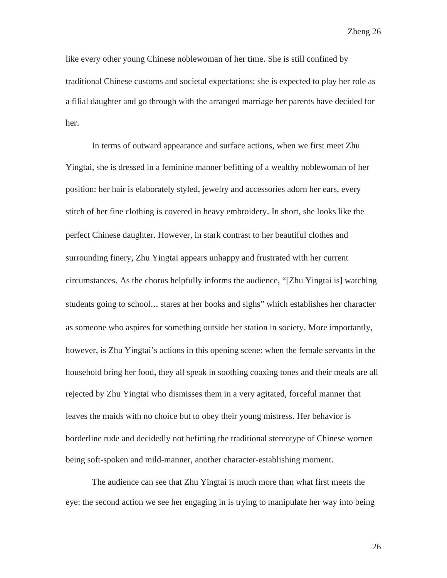like every other young Chinese noblewoman of her time. She is still confined by traditional Chinese customs and societal expectations; she is expected to play her role as a filial daughter and go through with the arranged marriage her parents have decided for her.

In terms of outward appearance and surface actions, when we first meet Zhu Yingtai, she is dressed in a feminine manner befitting of a wealthy noblewoman of her position: her hair is elaborately styled, jewelry and accessories adorn her ears, every stitch of her fine clothing is covered in heavy embroidery. In short, she looks like the perfect Chinese daughter. However, in stark contrast to her beautiful clothes and surrounding finery, Zhu Yingtai appears unhappy and frustrated with her current circumstances. As the chorus helpfully informs the audience, "[Zhu Yingtai is] watching students going to school... stares at her books and sighs" which establishes her character as someone who aspires for something outside her station in society. More importantly, however, is Zhu Yingtai's actions in this opening scene: when the female servants in the household bring her food, they all speak in soothing coaxing tones and their meals are all rejected by Zhu Yingtai who dismisses them in a very agitated, forceful manner that leaves the maids with no choice but to obey their young mistress. Her behavior is borderline rude and decidedly not befitting the traditional stereotype of Chinese women being soft-spoken and mild-manner, another character-establishing moment.

The audience can see that Zhu Yingtai is much more than what first meets the eye: the second action we see her engaging in is trying to manipulate her way into being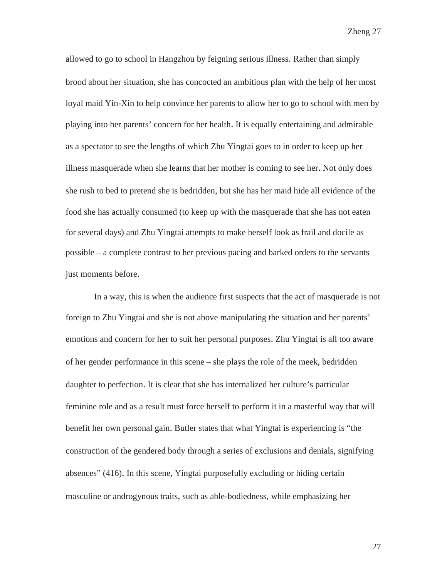allowed to go to school in Hangzhou by feigning serious illness. Rather than simply brood about her situation, she has concocted an ambitious plan with the help of her most loyal maid Yin-Xin to help convince her parents to allow her to go to school with men by playing into her parents' concern for her health. It is equally entertaining and admirable as a spectator to see the lengths of which Zhu Yingtai goes to in order to keep up her illness masquerade when she learns that her mother is coming to see her. Not only does she rush to bed to pretend she is bedridden, but she has her maid hide all evidence of the food she has actually consumed (to keep up with the masquerade that she has not eaten for several days) and Zhu Yingtai attempts to make herself look as frail and docile as possible – a complete contrast to her previous pacing and barked orders to the servants just moments before.

 In a way, this is when the audience first suspects that the act of masquerade is not foreign to Zhu Yingtai and she is not above manipulating the situation and her parents' emotions and concern for her to suit her personal purposes. Zhu Yingtai is all too aware of her gender performance in this scene – she plays the role of the meek, bedridden daughter to perfection. It is clear that she has internalized her culture's particular feminine role and as a result must force herself to perform it in a masterful way that will benefit her own personal gain. Butler states that what Yingtai is experiencing is "the construction of the gendered body through a series of exclusions and denials, signifying absences" (416). In this scene, Yingtai purposefully excluding or hiding certain masculine or androgynous traits, such as able-bodiedness, while emphasizing her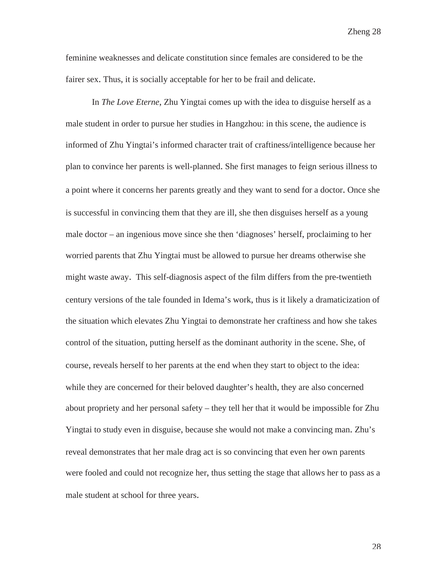feminine weaknesses and delicate constitution since females are considered to be the fairer sex. Thus, it is socially acceptable for her to be frail and delicate.

In *The Love Eterne*, Zhu Yingtai comes up with the idea to disguise herself as a male student in order to pursue her studies in Hangzhou: in this scene, the audience is informed of Zhu Yingtai's informed character trait of craftiness/intelligence because her plan to convince her parents is well-planned. She first manages to feign serious illness to a point where it concerns her parents greatly and they want to send for a doctor. Once she is successful in convincing them that they are ill, she then disguises herself as a young male doctor – an ingenious move since she then 'diagnoses' herself, proclaiming to her worried parents that Zhu Yingtai must be allowed to pursue her dreams otherwise she might waste away. This self-diagnosis aspect of the film differs from the pre-twentieth century versions of the tale founded in Idema's work, thus is it likely a dramaticization of the situation which elevates Zhu Yingtai to demonstrate her craftiness and how she takes control of the situation, putting herself as the dominant authority in the scene. She, of course, reveals herself to her parents at the end when they start to object to the idea: while they are concerned for their beloved daughter's health, they are also concerned about propriety and her personal safety – they tell her that it would be impossible for Zhu Yingtai to study even in disguise, because she would not make a convincing man. Zhu's reveal demonstrates that her male drag act is so convincing that even her own parents were fooled and could not recognize her, thus setting the stage that allows her to pass as a male student at school for three years.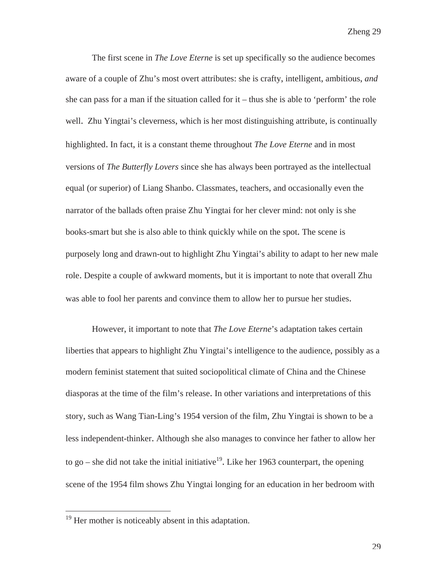The first scene in *The Love Eterne* is set up specifically so the audience becomes aware of a couple of Zhu's most overt attributes: she is crafty, intelligent, ambitious, *and* she can pass for a man if the situation called for  $it$  – thus she is able to 'perform' the role well. Zhu Yingtai's cleverness, which is her most distinguishing attribute, is continually highlighted. In fact, it is a constant theme throughout *The Love Eterne* and in most versions of *The Butterfly Lovers* since she has always been portrayed as the intellectual equal (or superior) of Liang Shanbo. Classmates, teachers, and occasionally even the narrator of the ballads often praise Zhu Yingtai for her clever mind: not only is she books-smart but she is also able to think quickly while on the spot. The scene is purposely long and drawn-out to highlight Zhu Yingtai's ability to adapt to her new male role. Despite a couple of awkward moments, but it is important to note that overall Zhu was able to fool her parents and convince them to allow her to pursue her studies.

However, it important to note that *The Love Eterne*'s adaptation takes certain liberties that appears to highlight Zhu Yingtai's intelligence to the audience, possibly as a modern feminist statement that suited sociopolitical climate of China and the Chinese diasporas at the time of the film's release. In other variations and interpretations of this story, such as Wang Tian-Ling's 1954 version of the film, Zhu Yingtai is shown to be a less independent-thinker. Although she also manages to convince her father to allow her to go – she did not take the initial initiative<sup>19</sup>. Like her 1963 counterpart, the opening scene of the 1954 film shows Zhu Yingtai longing for an education in her bedroom with

 $19$  Her mother is noticeably absent in this adaptation.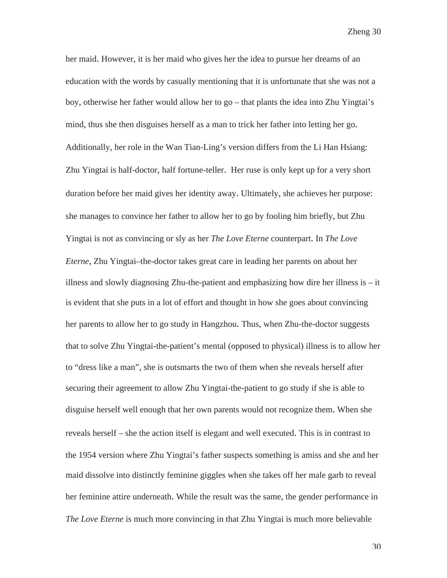her maid. However, it is her maid who gives her the idea to pursue her dreams of an education with the words by casually mentioning that it is unfortunate that she was not a boy, otherwise her father would allow her to go – that plants the idea into Zhu Yingtai's mind, thus she then disguises herself as a man to trick her father into letting her go. Additionally, her role in the Wan Tian-Ling's version differs from the Li Han Hsiang: Zhu Yingtai is half-doctor, half fortune-teller. Her ruse is only kept up for a very short duration before her maid gives her identity away. Ultimately, she achieves her purpose: she manages to convince her father to allow her to go by fooling him briefly, but Zhu Yingtai is not as convincing or sly as her *The Love Eterne* counterpart. In *The Love Eterne*, Zhu Yingtai–the-doctor takes great care in leading her parents on about her illness and slowly diagnosing Zhu-the-patient and emphasizing how dire her illness is – it is evident that she puts in a lot of effort and thought in how she goes about convincing her parents to allow her to go study in Hangzhou. Thus, when Zhu-the-doctor suggests that to solve Zhu Yingtai-the-patient's mental (opposed to physical) illness is to allow her to "dress like a man", she is outsmarts the two of them when she reveals herself after securing their agreement to allow Zhu Yingtai-the-patient to go study if she is able to disguise herself well enough that her own parents would not recognize them. When she reveals herself – she the action itself is elegant and well executed. This is in contrast to the 1954 version where Zhu Yingtai's father suspects something is amiss and she and her maid dissolve into distinctly feminine giggles when she takes off her male garb to reveal her feminine attire underneath. While the result was the same, the gender performance in *The Love Eterne* is much more convincing in that Zhu Yingtai is much more believable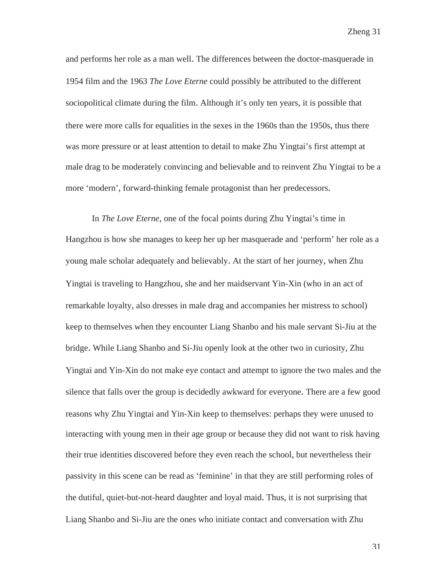and performs her role as a man well. The differences between the doctor-masquerade in 1954 film and the 1963 *The Love Eterne* could possibly be attributed to the different sociopolitical climate during the film. Although it's only ten years, it is possible that there were more calls for equalities in the sexes in the 1960s than the 1950s, thus there was more pressure or at least attention to detail to make Zhu Yingtai's first attempt at male drag to be moderately convincing and believable and to reinvent Zhu Yingtai to be a more 'modern', forward-thinking female protagonist than her predecessors.

In *The Love Eterne*, one of the focal points during Zhu Yingtai's time in Hangzhou is how she manages to keep her up her masquerade and 'perform' her role as a young male scholar adequately and believably. At the start of her journey, when Zhu Yingtai is traveling to Hangzhou, she and her maidservant Yin-Xin (who in an act of remarkable loyalty, also dresses in male drag and accompanies her mistress to school) keep to themselves when they encounter Liang Shanbo and his male servant Si-Jiu at the bridge. While Liang Shanbo and Si-Jiu openly look at the other two in curiosity, Zhu Yingtai and Yin-Xin do not make eye contact and attempt to ignore the two males and the silence that falls over the group is decidedly awkward for everyone. There are a few good reasons why Zhu Yingtai and Yin-Xin keep to themselves: perhaps they were unused to interacting with young men in their age group or because they did not want to risk having their true identities discovered before they even reach the school, but nevertheless their passivity in this scene can be read as 'feminine' in that they are still performing roles of the dutiful, quiet-but-not-heard daughter and loyal maid. Thus, it is not surprising that Liang Shanbo and Si-Jiu are the ones who initiate contact and conversation with Zhu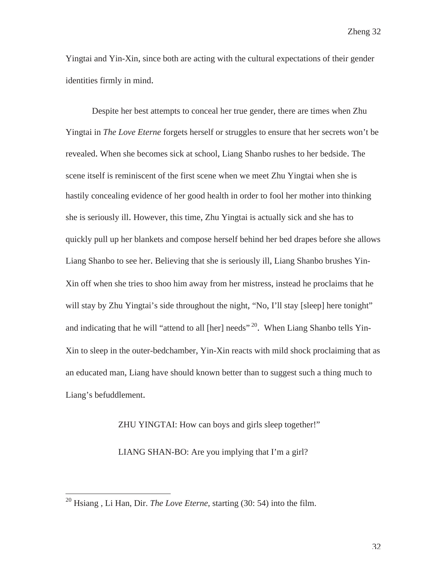Yingtai and Yin-Xin, since both are acting with the cultural expectations of their gender identities firmly in mind.

 Despite her best attempts to conceal her true gender, there are times when Zhu Yingtai in *The Love Eterne* forgets herself or struggles to ensure that her secrets won't be revealed. When she becomes sick at school, Liang Shanbo rushes to her bedside. The scene itself is reminiscent of the first scene when we meet Zhu Yingtai when she is hastily concealing evidence of her good health in order to fool her mother into thinking she is seriously ill. However, this time, Zhu Yingtai is actually sick and she has to quickly pull up her blankets and compose herself behind her bed drapes before she allows Liang Shanbo to see her. Believing that she is seriously ill, Liang Shanbo brushes Yin-Xin off when she tries to shoo him away from her mistress, instead he proclaims that he will stay by Zhu Yingtai's side throughout the night, "No, I'll stay [sleep] here tonight" and indicating that he will "attend to all [her] needs"<sup>20</sup>. When Liang Shanbo tells Yin-Xin to sleep in the outer-bedchamber, Yin-Xin reacts with mild shock proclaiming that as an educated man, Liang have should known better than to suggest such a thing much to Liang's befuddlement.

ZHU YINGTAI: How can boys and girls sleep together!"

LIANG SHAN-BO: Are you implying that I'm a girl?

<sup>20</sup> Hsiang , Li Han, Dir. *The Love Eterne*, starting (30: 54) into the film.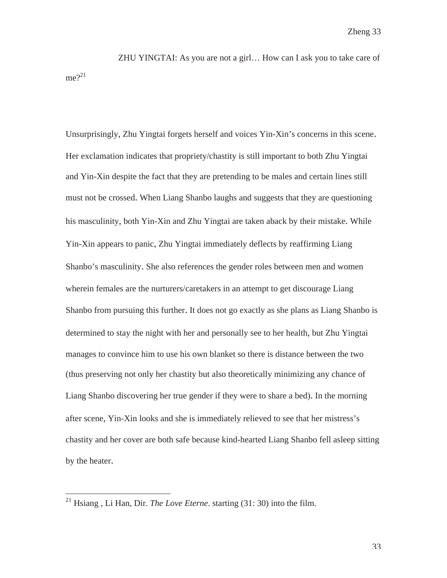ZHU YINGTAI: As you are not a girl… How can I ask you to take care of  $me<sup>21</sup>$ 

Unsurprisingly, Zhu Yingtai forgets herself and voices Yin-Xin's concerns in this scene. Her exclamation indicates that propriety/chastity is still important to both Zhu Yingtai and Yin-Xin despite the fact that they are pretending to be males and certain lines still must not be crossed. When Liang Shanbo laughs and suggests that they are questioning his masculinity, both Yin-Xin and Zhu Yingtai are taken aback by their mistake. While Yin-Xin appears to panic, Zhu Yingtai immediately deflects by reaffirming Liang Shanbo's masculinity. She also references the gender roles between men and women wherein females are the nurturers/caretakers in an attempt to get discourage Liang Shanbo from pursuing this further. It does not go exactly as she plans as Liang Shanbo is determined to stay the night with her and personally see to her health, but Zhu Yingtai manages to convince him to use his own blanket so there is distance between the two (thus preserving not only her chastity but also theoretically minimizing any chance of Liang Shanbo discovering her true gender if they were to share a bed). In the morning after scene, Yin-Xin looks and she is immediately relieved to see that her mistress's chastity and her cover are both safe because kind-hearted Liang Shanbo fell asleep sitting by the heater.

<sup>21</sup> Hsiang , Li Han, Dir. *The Love Eterne*. starting (31: 30) into the film.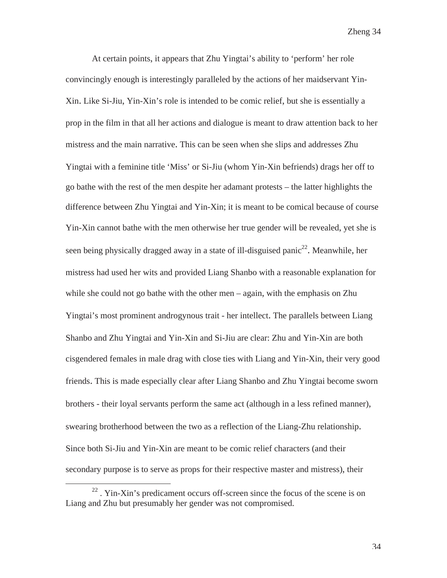At certain points, it appears that Zhu Yingtai's ability to 'perform' her role convincingly enough is interestingly paralleled by the actions of her maidservant Yin-Xin. Like Si-Jiu, Yin-Xin's role is intended to be comic relief, but she is essentially a prop in the film in that all her actions and dialogue is meant to draw attention back to her mistress and the main narrative. This can be seen when she slips and addresses Zhu Yingtai with a feminine title 'Miss' or Si-Jiu (whom Yin-Xin befriends) drags her off to go bathe with the rest of the men despite her adamant protests – the latter highlights the difference between Zhu Yingtai and Yin-Xin; it is meant to be comical because of course Yin-Xin cannot bathe with the men otherwise her true gender will be revealed, yet she is seen being physically dragged away in a state of ill-disguised panic<sup>22</sup>. Meanwhile, her mistress had used her wits and provided Liang Shanbo with a reasonable explanation for while she could not go bathe with the other men – again, with the emphasis on Zhu Yingtai's most prominent androgynous trait - her intellect. The parallels between Liang Shanbo and Zhu Yingtai and Yin-Xin and Si-Jiu are clear: Zhu and Yin-Xin are both cisgendered females in male drag with close ties with Liang and Yin-Xin, their very good friends. This is made especially clear after Liang Shanbo and Zhu Yingtai become sworn brothers - their loyal servants perform the same act (although in a less refined manner), swearing brotherhood between the two as a reflection of the Liang-Zhu relationship. Since both Si-Jiu and Yin-Xin are meant to be comic relief characters (and their secondary purpose is to serve as props for their respective master and mistress), their

 $22$ . Yin-Xin's predicament occurs off-screen since the focus of the scene is on Liang and Zhu but presumably her gender was not compromised.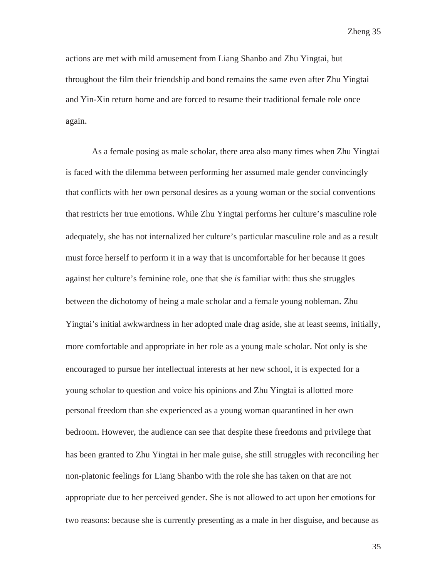actions are met with mild amusement from Liang Shanbo and Zhu Yingtai, but throughout the film their friendship and bond remains the same even after Zhu Yingtai and Yin-Xin return home and are forced to resume their traditional female role once again.

As a female posing as male scholar, there area also many times when Zhu Yingtai is faced with the dilemma between performing her assumed male gender convincingly that conflicts with her own personal desires as a young woman or the social conventions that restricts her true emotions. While Zhu Yingtai performs her culture's masculine role adequately, she has not internalized her culture's particular masculine role and as a result must force herself to perform it in a way that is uncomfortable for her because it goes against her culture's feminine role, one that she *is* familiar with: thus she struggles between the dichotomy of being a male scholar and a female young nobleman. Zhu Yingtai's initial awkwardness in her adopted male drag aside, she at least seems, initially, more comfortable and appropriate in her role as a young male scholar. Not only is she encouraged to pursue her intellectual interests at her new school, it is expected for a young scholar to question and voice his opinions and Zhu Yingtai is allotted more personal freedom than she experienced as a young woman quarantined in her own bedroom. However, the audience can see that despite these freedoms and privilege that has been granted to Zhu Yingtai in her male guise, she still struggles with reconciling her non-platonic feelings for Liang Shanbo with the role she has taken on that are not appropriate due to her perceived gender. She is not allowed to act upon her emotions for two reasons: because she is currently presenting as a male in her disguise, and because as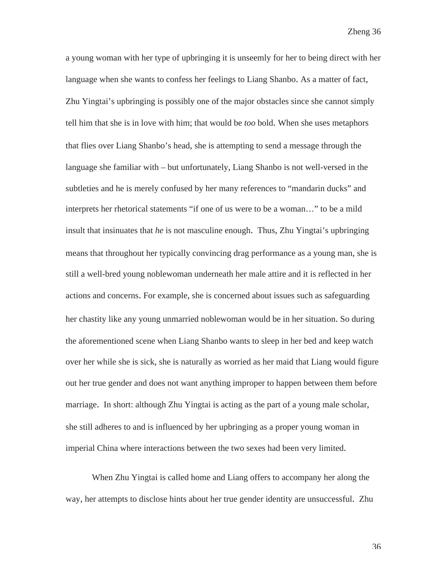a young woman with her type of upbringing it is unseemly for her to being direct with her language when she wants to confess her feelings to Liang Shanbo. As a matter of fact, Zhu Yingtai's upbringing is possibly one of the major obstacles since she cannot simply tell him that she is in love with him; that would be *too* bold. When she uses metaphors that flies over Liang Shanbo's head, she is attempting to send a message through the language she familiar with – but unfortunately, Liang Shanbo is not well-versed in the subtleties and he is merely confused by her many references to "mandarin ducks" and interprets her rhetorical statements "if one of us were to be a woman…" to be a mild insult that insinuates that *he* is not masculine enough. Thus, Zhu Yingtai's upbringing means that throughout her typically convincing drag performance as a young man, she is still a well-bred young noblewoman underneath her male attire and it is reflected in her actions and concerns. For example, she is concerned about issues such as safeguarding her chastity like any young unmarried noblewoman would be in her situation. So during the aforementioned scene when Liang Shanbo wants to sleep in her bed and keep watch over her while she is sick, she is naturally as worried as her maid that Liang would figure out her true gender and does not want anything improper to happen between them before marriage. In short: although Zhu Yingtai is acting as the part of a young male scholar, she still adheres to and is influenced by her upbringing as a proper young woman in imperial China where interactions between the two sexes had been very limited.

When Zhu Yingtai is called home and Liang offers to accompany her along the way, her attempts to disclose hints about her true gender identity are unsuccessful. Zhu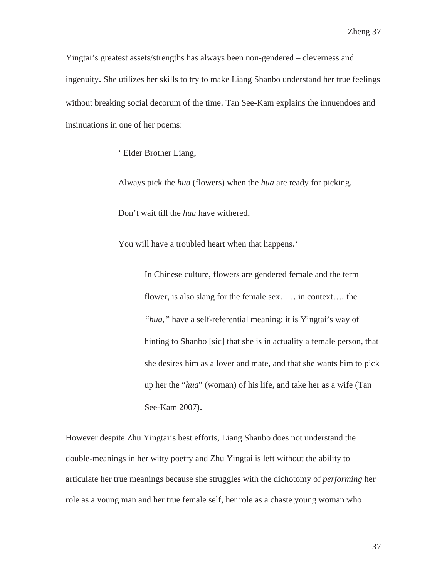Yingtai's greatest assets/strengths has always been non-gendered – cleverness and ingenuity. She utilizes her skills to try to make Liang Shanbo understand her true feelings without breaking social decorum of the time. Tan See-Kam explains the innuendoes and insinuations in one of her poems:

' Elder Brother Liang,

Always pick the *hua* (flowers) when the *hua* are ready for picking.

Don't wait till the *hua* have withered.

You will have a troubled heart when that happens.'

In Chinese culture, flowers are gendered female and the term flower, is also slang for the female sex. …. in context…. the *"hua,"* have a self-referential meaning: it is Yingtai's way of hinting to Shanbo [sic] that she is in actuality a female person, that she desires him as a lover and mate, and that she wants him to pick up her the "*hua*" (woman) of his life, and take her as a wife (Tan See-Kam 2007).

However despite Zhu Yingtai's best efforts, Liang Shanbo does not understand the double-meanings in her witty poetry and Zhu Yingtai is left without the ability to articulate her true meanings because she struggles with the dichotomy of *performing* her role as a young man and her true female self, her role as a chaste young woman who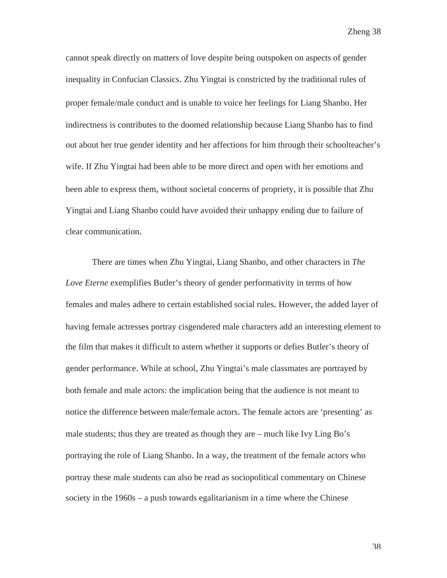cannot speak directly on matters of love despite being outspoken on aspects of gender inequality in Confucian Classics. Zhu Yingtai is constricted by the traditional rules of proper female/male conduct and is unable to voice her feelings for Liang Shanbo. Her indirectness is contributes to the doomed relationship because Liang Shanbo has to find out about her true gender identity and her affections for him through their schoolteacher's wife. If Zhu Yingtai had been able to be more direct and open with her emotions and been able to express them, without societal concerns of propriety, it is possible that Zhu Yingtai and Liang Shanbo could have avoided their unhappy ending due to failure of clear communication.

There are times when Zhu Yingtai, Liang Shanbo, and other characters in *The Love Eterne* exemplifies Butler's theory of gender performativity in terms of how females and males adhere to certain established social rules. However, the added layer of having female actresses portray cisgendered male characters add an interesting element to the film that makes it difficult to astern whether it supports or defies Butler's theory of gender performance. While at school, Zhu Yingtai's male classmates are portrayed by both female and male actors: the implication being that the audience is not meant to notice the difference between male/female actors. The female actors are 'presenting' as male students; thus they are treated as though they are – much like Ivy Ling Bo's portraying the role of Liang Shanbo. In a way, the treatment of the female actors who portray these male students can also be read as sociopolitical commentary on Chinese society in the 1960s – a push towards egalitarianism in a time where the Chinese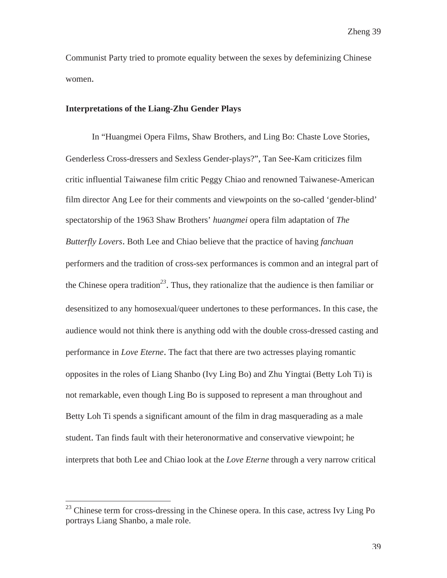Communist Party tried to promote equality between the sexes by defeminizing Chinese women.

### **Interpretations of the Liang-Zhu Gender Plays**

In "Huangmei Opera Films, Shaw Brothers, and Ling Bo: Chaste Love Stories, Genderless Cross-dressers and Sexless Gender-plays?", Tan See-Kam criticizes film critic influential Taiwanese film critic Peggy Chiao and renowned Taiwanese-American film director Ang Lee for their comments and viewpoints on the so-called 'gender-blind' spectatorship of the 1963 Shaw Brothers' *huangmei* opera film adaptation of *The Butterfly Lovers*. Both Lee and Chiao believe that the practice of having *fanchuan*  performers and the tradition of cross-sex performances is common and an integral part of the Chinese opera tradition*<sup>23</sup>*. Thus, they rationalize that the audience is then familiar or desensitized to any homosexual/queer undertones to these performances. In this case, the audience would not think there is anything odd with the double cross-dressed casting and performance in *Love Eterne*. The fact that there are two actresses playing romantic opposites in the roles of Liang Shanbo (Ivy Ling Bo) and Zhu Yingtai (Betty Loh Ti) is not remarkable, even though Ling Bo is supposed to represent a man throughout and Betty Loh Ti spends a significant amount of the film in drag masquerading as a male student. Tan finds fault with their heteronormative and conservative viewpoint; he interprets that both Lee and Chiao look at the *Love Eterne* through a very narrow critical

-

 $23$  Chinese term for cross-dressing in the Chinese opera. In this case, actress Ivy Ling Po portrays Liang Shanbo, a male role.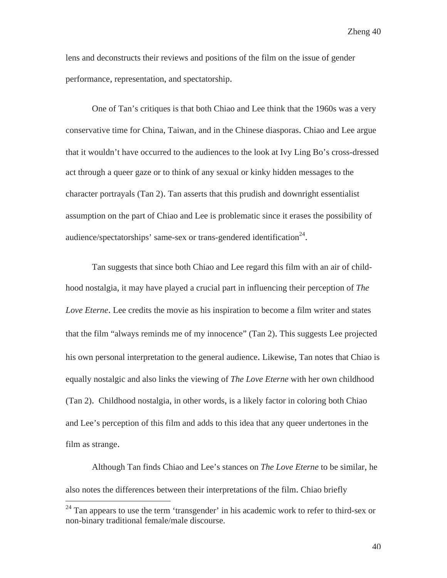lens and deconstructs their reviews and positions of the film on the issue of gender performance, representation, and spectatorship.

One of Tan's critiques is that both Chiao and Lee think that the 1960s was a very conservative time for China, Taiwan, and in the Chinese diasporas. Chiao and Lee argue that it wouldn't have occurred to the audiences to the look at Ivy Ling Bo's cross-dressed act through a queer gaze or to think of any sexual or kinky hidden messages to the character portrayals (Tan 2). Tan asserts that this prudish and downright essentialist assumption on the part of Chiao and Lee is problematic since it erases the possibility of audience/spectatorships' same-sex or trans-gendered identification<sup>24</sup>.

 Tan suggests that since both Chiao and Lee regard this film with an air of childhood nostalgia, it may have played a crucial part in influencing their perception of *The Love Eterne*. Lee credits the movie as his inspiration to become a film writer and states that the film "always reminds me of my innocence" (Tan 2). This suggests Lee projected his own personal interpretation to the general audience. Likewise, Tan notes that Chiao is equally nostalgic and also links the viewing of *The Love Eterne* with her own childhood (Tan 2). Childhood nostalgia, in other words, is a likely factor in coloring both Chiao and Lee's perception of this film and adds to this idea that any queer undertones in the film as strange.

Although Tan finds Chiao and Lee's stances on *The Love Eterne* to be similar, he also notes the differences between their interpretations of the film. Chiao briefly

 $\overline{a}$ 

 $24$  Tan appears to use the term 'transgender' in his academic work to refer to third-sex or non-binary traditional female/male discourse.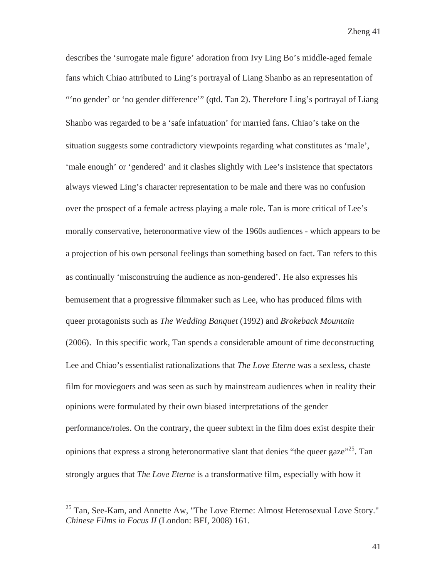describes the 'surrogate male figure' adoration from Ivy Ling Bo's middle-aged female fans which Chiao attributed to Ling's portrayal of Liang Shanbo as an representation of "'no gender' or 'no gender difference'" (qtd. Tan 2). Therefore Ling's portrayal of Liang Shanbo was regarded to be a 'safe infatuation' for married fans. Chiao's take on the situation suggests some contradictory viewpoints regarding what constitutes as 'male', 'male enough' or 'gendered' and it clashes slightly with Lee's insistence that spectators always viewed Ling's character representation to be male and there was no confusion over the prospect of a female actress playing a male role. Tan is more critical of Lee's morally conservative, heteronormative view of the 1960s audiences - which appears to be a projection of his own personal feelings than something based on fact. Tan refers to this as continually 'misconstruing the audience as non-gendered'. He also expresses his bemusement that a progressive filmmaker such as Lee, who has produced films with queer protagonists such as *The Wedding Banquet* (1992) and *Brokeback Mountain* (2006). In this specific work, Tan spends a considerable amount of time deconstructing Lee and Chiao's essentialist rationalizations that *The Love Eterne* was a sexless, chaste film for moviegoers and was seen as such by mainstream audiences when in reality their opinions were formulated by their own biased interpretations of the gender performance/roles. On the contrary, the queer subtext in the film does exist despite their opinions that express a strong heteronormative slant that denies "the queer gaze"<sup>25</sup>. Tan strongly argues that *The Love Eterne* is a transformative film, especially with how it

<sup>&</sup>lt;sup>25</sup> Tan, See-Kam, and Annette Aw, "The Love Eterne: Almost Heterosexual Love Story." *Chinese Films in Focus II* (London: BFI, 2008) 161.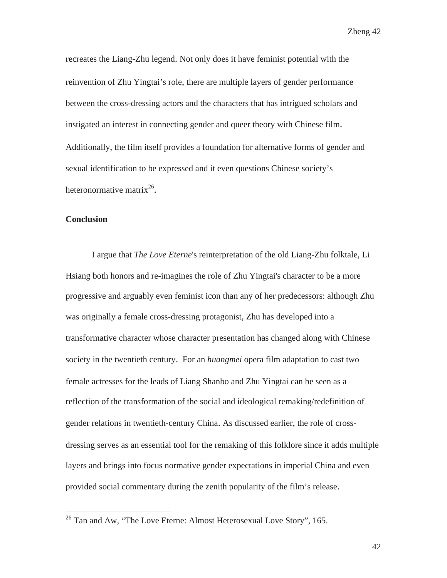recreates the Liang-Zhu legend. Not only does it have feminist potential with the reinvention of Zhu Yingtai's role, there are multiple layers of gender performance between the cross-dressing actors and the characters that has intrigued scholars and instigated an interest in connecting gender and queer theory with Chinese film. Additionally, the film itself provides a foundation for alternative forms of gender and sexual identification to be expressed and it even questions Chinese society's heteronormative matrix<sup>26</sup>.

#### **Conclusion**

 $\overline{a}$ 

 I argue that *The Love Eterne*'s reinterpretation of the old Liang-Zhu folktale, Li Hsiang both honors and re-imagines the role of Zhu Yingtai's character to be a more progressive and arguably even feminist icon than any of her predecessors: although Zhu was originally a female cross-dressing protagonist, Zhu has developed into a transformative character whose character presentation has changed along with Chinese society in the twentieth century. For an *huangmei* opera film adaptation to cast two female actresses for the leads of Liang Shanbo and Zhu Yingtai can be seen as a reflection of the transformation of the social and ideological remaking/redefinition of gender relations in twentieth-century China. As discussed earlier, the role of crossdressing serves as an essential tool for the remaking of this folklore since it adds multiple layers and brings into focus normative gender expectations in imperial China and even provided social commentary during the zenith popularity of the film's release.

Zheng 42

 $^{26}$  Tan and Aw, "The Love Eterne: Almost Heterosexual Love Story", 165.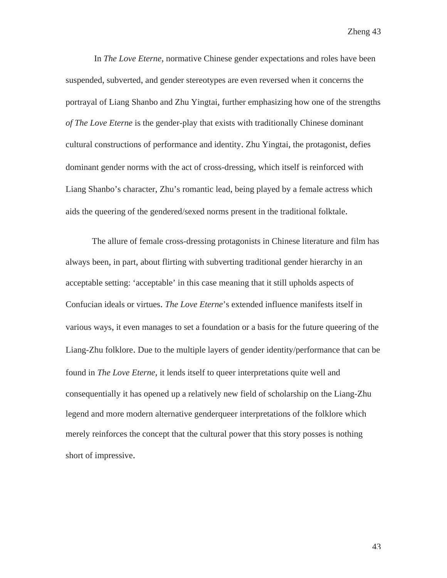In *The Love Eterne*, normative Chinese gender expectations and roles have been suspended, subverted, and gender stereotypes are even reversed when it concerns the portrayal of Liang Shanbo and Zhu Yingtai, further emphasizing how one of the strengths *of The Love Eterne* is the gender-play that exists with traditionally Chinese dominant cultural constructions of performance and identity. Zhu Yingtai, the protagonist, defies dominant gender norms with the act of cross-dressing, which itself is reinforced with Liang Shanbo's character, Zhu's romantic lead, being played by a female actress which aids the queering of the gendered/sexed norms present in the traditional folktale.

The allure of female cross-dressing protagonists in Chinese literature and film has always been, in part, about flirting with subverting traditional gender hierarchy in an acceptable setting: 'acceptable' in this case meaning that it still upholds aspects of Confucian ideals or virtues. *The Love Eterne*'s extended influence manifests itself in various ways, it even manages to set a foundation or a basis for the future queering of the Liang-Zhu folklore. Due to the multiple layers of gender identity/performance that can be found in *The Love Eterne*, it lends itself to queer interpretations quite well and consequentially it has opened up a relatively new field of scholarship on the Liang-Zhu legend and more modern alternative genderqueer interpretations of the folklore which merely reinforces the concept that the cultural power that this story posses is nothing short of impressive.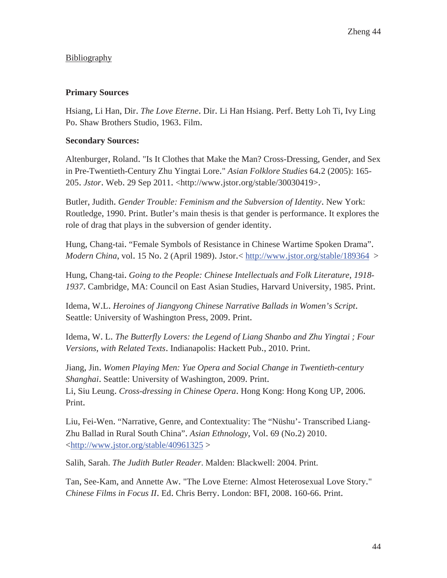## Bibliography

### **Primary Sources**

Hsiang, Li Han, Dir. *The Love Eterne*. Dir. Li Han Hsiang. Perf. Betty Loh Ti, Ivy Ling Po. Shaw Brothers Studio, 1963. Film.

### **Secondary Sources:**

Altenburger, Roland. "Is It Clothes that Make the Man? Cross-Dressing, Gender, and Sex in Pre-Twentieth-Century Zhu Yingtai Lore." *Asian Folklore Studies* 64.2 (2005): 165- 205. *Jstor*. Web. 29 Sep 2011. <http://www.jstor.org/stable/30030419>.

Butler, Judith. *Gender Trouble: Feminism and the Subversion of Identity*. New York: Routledge, 1990. Print. Butler's main thesis is that gender is performance. It explores the role of drag that plays in the subversion of gender identity.

Hung, Chang-tai. "Female Symbols of Resistance in Chinese Wartime Spoken Drama". *Modern China*, vol. 15 No. 2 (April 1989). Jstor.< http://www.jstor.org/stable/189364 >

Hung, Chang-tai. *Going to the People: Chinese Intellectuals and Folk Literature, 1918- 1937*. Cambridge, MA: Council on East Asian Studies, Harvard University, 1985. Print.

Idema, W.L. *Heroines of Jiangyong Chinese Narrative Ballads in Women's Script*. Seattle: University of Washington Press, 2009. Print.

Idema, W. L. *The Butterfly Lovers: the Legend of Liang Shanbo and Zhu Yingtai ; Four Versions, with Related Texts*. Indianapolis: Hackett Pub., 2010. Print.

Jiang, Jin. *Women Playing Men: Yue Opera and Social Change in Twentieth-century Shanghai*. Seattle: University of Washington, 2009. Print. Li, Siu Leung. *Cross-dressing in Chinese Opera*. Hong Kong: Hong Kong UP, 2006. Print.

Liu, Fei-Wen. "Narrative, Genre, and Contextuality: The "Nüshu'- Transcribed Liang-Zhu Ballad in Rural South China". *Asian Ethnology*, Vol. 69 (No.2) 2010.  $\langle \frac{http://www.jstor.org/stable/40961325\rangle}{http://www.jstor.org/stable/40961325\rangle}$ 

Salih, Sarah. *The Judith Butler Reader*. Malden: Blackwell: 2004. Print.

Tan, See-Kam, and Annette Aw. "The Love Eterne: Almost Heterosexual Love Story." *Chinese Films in Focus II*. Ed. Chris Berry. London: BFI, 2008. 160-66. Print.